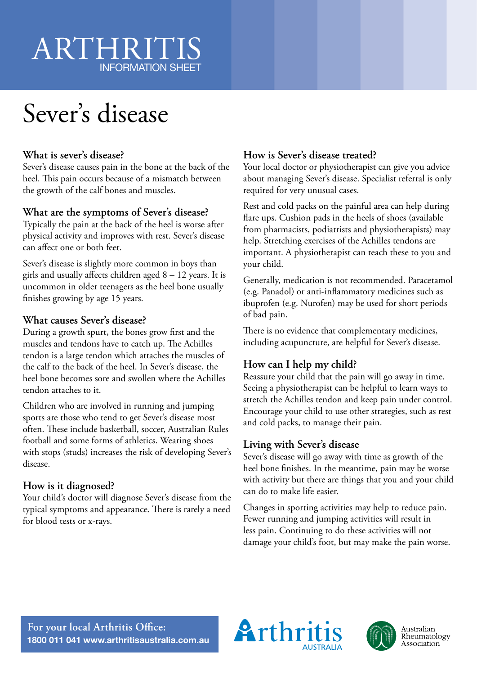# ARTHRITIS INFORMATION SHEET

# Sever's disease

#### **What is sever's disease?**

Sever's disease causes pain in the bone at the back of the heel. This pain occurs because of a mismatch between the growth of the calf bones and muscles.

#### **What are the symptoms of Sever's disease?**

Typically the pain at the back of the heel is worse after physical activity and improves with rest. Sever's disease can affect one or both feet.

Sever's disease is slightly more common in boys than girls and usually affects children aged 8 – 12 years. It is uncommon in older teenagers as the heel bone usually finishes growing by age 15 years.

#### **What causes Sever's disease?**

During a growth spurt, the bones grow first and the muscles and tendons have to catch up. The Achilles tendon is a large tendon which attaches the muscles of the calf to the back of the heel. In Sever's disease, the heel bone becomes sore and swollen where the Achilles tendon attaches to it.

Children who are involved in running and jumping sports are those who tend to get Sever's disease most often. These include basketball, soccer, Australian Rules football and some forms of athletics. Wearing shoes with stops (studs) increases the risk of developing Sever's disease.

### **How is it diagnosed?**

Your child's doctor will diagnose Sever's disease from the typical symptoms and appearance. There is rarely a need for blood tests or x-rays.

## **How is Sever's disease treated?**

Your local doctor or physiotherapist can give you advice about managing Sever's disease. Specialist referral is only required for very unusual cases.

Rest and cold packs on the painful area can help during flare ups. Cushion pads in the heels of shoes (available from pharmacists, podiatrists and physiotherapists) may help. Stretching exercises of the Achilles tendons are important. A physiotherapist can teach these to you and your child.

Generally, medication is not recommended. Paracetamol (e.g. Panadol) or anti-inflammatory medicines such as ibuprofen (e.g. Nurofen) may be used for short periods of bad pain.

There is no evidence that complementary medicines, including acupuncture, are helpful for Sever's disease.

## **How can I help my child?**

Reassure your child that the pain will go away in time. Seeing a physiotherapist can be helpful to learn ways to stretch the Achilles tendon and keep pain under control. Encourage your child to use other strategies, such as rest and cold packs, to manage their pain.

### **Living with Sever's disease**

Sever's disease will go away with time as growth of the heel bone finishes. In the meantime, pain may be worse with activity but there are things that you and your child can do to make life easier.

Changes in sporting activities may help to reduce pain. Fewer running and jumping activities will result in less pain. Continuing to do these activities will not damage your child's foot, but may make the pain worse.